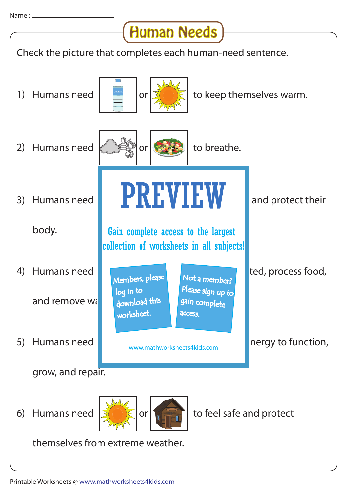## Human Needs